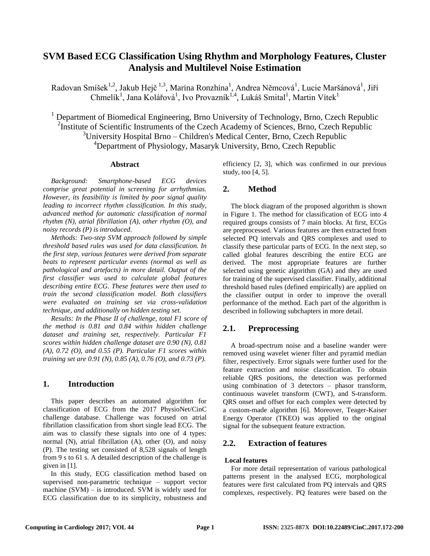# **SVM Based ECG Classification Using Rhythm and Morphology Features, Cluster Analysis and Multilevel Noise Estimation**

Radovan Smíšek<sup>1,2</sup>, Jakub Hejč<sup>1,3</sup>, Marina Ronzhina<sup>1</sup>, Andrea Němcová<sup>1</sup>, Lucie Maršánová<sup>1</sup>, Jiří Chmelík<sup>1</sup>, Jana Kolářová<sup>1</sup>, Ivo Provazník<sup>1,4</sup>, Lukáš Smital<sup>1</sup>, Martin Vítek<sup>1</sup>

<sup>1</sup> Department of Biomedical Engineering, Brno University of Technology, Brno, Czech Republic <sup>2</sup>Institute of Scientific Instruments of the Czech Academy of Sciences, Brno, Czech Republic  $3$ University Hospital Brno – Children's Medical Center, Brno, Czech Republic <sup>4</sup>Department of Physiology, Masaryk University, Brno, Czech Republic

#### **Abstract**

*Background: Smartphone-based ECG devices comprise great potential in screening for arrhythmias. However, its feasibility is limited by poor signal quality leading to incorrect rhythm classification. In this study, advanced method for automatic classification of normal rhythm (N), atrial fibrillation (A), other rhythm (O), and noisy records (P) is introduced.*

*Methods: Two-step SVM approach followed by simple threshold based rules was used for data classification. In the first step, various features were derived from separate beats to represent particular events (normal as well as pathological and artefacts) in more detail. Output of the first classifier was used to calculate global features describing entire ECG. These features were then used to train the second classification model. Both classifiers were evaluated on training set via cross-validation technique, and additionally on hidden testing set.*

*Results: In the Phase II of challenge, total F1 score of the method is 0.81 and 0.84 within hidden challenge dataset and training set, respectively. Particular F1 scores within hidden challenge dataset are 0.90 (N), 0.81 (A), 0.72 (O), and 0.55 (P). Particular F1 scores within training set are 0.91 (N), 0.85 (A), 0.76 (O), and 0.73 (P).*

# **1. Introduction**

This paper describes an automated algorithm for classification of ECG from the 2017 PhysioNet/CinC challenge database. Challenge was focused on atrial fibrillation classification from short single lead ECG. The aim was to classify these signals into one of 4 types: normal (N), atrial fibrillation (A), other (O), and noisy (P). The testing set consisted of 8,528 signals of length from 9 s to 61 s. A detailed description of the challenge is given in [1].

In this study, ECG classification method based on supervised non-parametric technique – support vector machine (SVM) – is introduced. SVM is widely used for ECG classification due to its simplicity, robustness and efficiency [2, 3], which was confirmed in our previous study, too [4, 5].

# **2. Method**

The block diagram of the proposed algorithm is shown in Figure 1. The method for classification of ECG into 4 required groups consists of 7 main blocks. At first, ECGs are preprocessed. Various features are then extracted from selected PQ intervals and QRS complexes and used to classify these particular parts of ECG. In the next step, so called global features describing the entire ECG are derived. The most appropriate features are further selected using genetic algorithm (GA) and they are used for training of the supervised classifier. Finally, additional threshold based rules (defined empirically) are applied on the classifier output in order to improve the overall performance of the method. Each part of the algorithm is described in following subchapters in more detail.

# **2.1. Preprocessing**

A broad-spectrum noise and a baseline wander were removed using wavelet wiener filter and pyramid median filter, respectively. Error signals were further used for the feature extraction and noise classification. To obtain reliable QRS positions, the detection was performed using combination of 3 detectors – phasor transform, continuous wavelet transform (CWT), and S-transform. QRS onset and offset for each complex were detected by a custom-made algorithm [6]. Moreover, Teager-Kaiser Energy Operator (TKEO) was applied to the original signal for the subsequent feature extraction.

# **2.2. Extraction of features**

# **Local features**

For more detail representation of various pathological patterns present in the analysed ECG, morphological features were first calculated from PQ intervals and QRS complexes, respectively. PQ features were based on the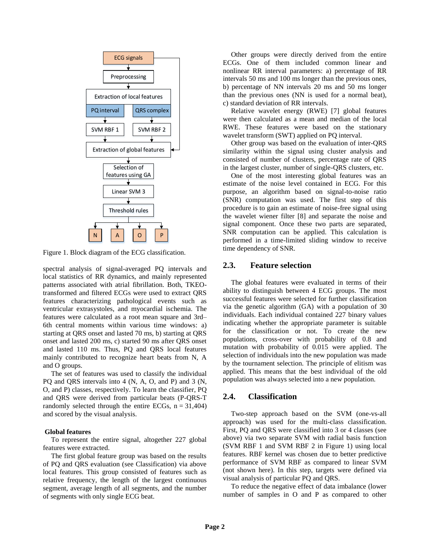

Figure 1. Block diagram of the ECG classification.

spectral analysis of signal-averaged PQ intervals and local statistics of RR dynamics, and mainly represented patterns associated with atrial fibrillation. Both, TKEOtransformed and filtered ECGs were used to extract QRS features characterizing pathological events such as ventricular extrasystoles, and myocardial ischemia. The features were calculated as a root mean square and 3rd– 6th central moments within various time windows: a) starting at QRS onset and lasted 70 ms, b) starting at QRS onset and lasted 200 ms, c) started 90 ms after QRS onset and lasted 110 ms. Thus, PQ and QRS local features mainly contributed to recognize heart beats from N, A and O groups.

The set of features was used to classify the individual PQ and QRS intervals into 4 (N, A, O, and P) and 3 (N, O, and P) classes, respectively. To learn the classifier, PQ and QRS were derived from particular beats (P-QRS-T randomly selected through the entire ECGs,  $n = 31,404$ ) and scored by the visual analysis.

#### **Global features**

To represent the entire signal, altogether 227 global features were extracted.

The first global feature group was based on the results of PQ and QRS evaluation (see Classification) via above local features. This group consisted of features such as relative frequency, the length of the largest continuous segment, average length of all segments, and the number of segments with only single ECG beat.

Other groups were directly derived from the entire ECGs. One of them included common linear and nonlinear RR interval parameters: a) percentage of RR intervals 50 ms and 100 ms longer than the previous ones, b) percentage of NN intervals 20 ms and 50 ms longer than the previous ones (NN is used for a normal beat), c) standard deviation of RR intervals.

Relative wavelet energy (RWE) [7] global features were then calculated as a mean and median of the local RWE. These features were based on the stationary wavelet transform (SWT) applied on PQ interval.

Other group was based on the evaluation of inter-QRS similarity within the signal using cluster analysis and consisted of number of clusters, percentage rate of QRS in the largest cluster, number of single-QRS clusters, etc.

One of the most interesting global features was an estimate of the noise level contained in ECG. For this purpose, an algorithm based on signal-to-noise ratio (SNR) computation was used. The first step of this procedure is to gain an estimate of noise-free signal using the wavelet wiener filter [8] and separate the noise and signal component. Once these two parts are separated, SNR computation can be applied. This calculation is performed in a time-limited sliding window to receive time dependency of SNR.

#### **2.3. Feature selection**

The global features were evaluated in terms of their ability to distinguish between 4 ECG groups. The most successful features were selected for further classification via the genetic algorithm (GA) with a population of 30 individuals. Each individual contained 227 binary values indicating whether the appropriate parameter is suitable for the classification or not. To create the new populations, cross-over with probability of 0.8 and mutation with probability of 0.015 were applied. The selection of individuals into the new population was made by the tournament selection. The principle of elitism was applied. This means that the best individual of the old population was always selected into a new population.

### **2.4. Classification**

Two-step approach based on the SVM (one-vs-all approach) was used for the multi-class classification. First, PQ and QRS were classified into 3 or 4 classes (see above) via two separate SVM with radial basis function (SVM RBF 1 and SVM RBF 2 in Figure 1) using local features. RBF kernel was chosen due to better predictive performance of SVM RBF as compared to linear SVM (not shown here). In this step, targets were defined via visual analysis of particular PQ and QRS.

To reduce the negative effect of data imbalance (lower number of samples in O and P as compared to other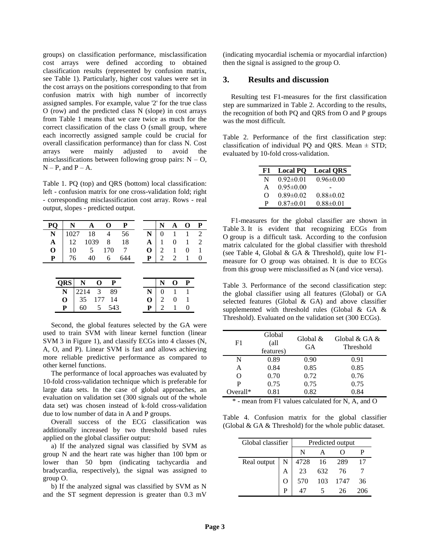groups) on classification performance, misclassification cost arrays were defined according to obtained classification results (represented by confusion matrix, see Table 1). Particularly, higher cost values were set in the cost arrays on the positions corresponding to that from confusion matrix with high number of incorrectly assigned samples. For example, value '2' for the true class O (row) and the predicted class N (slope) in cost arrays from Table 1 means that we care twice as much for the correct classification of the class O (small group, where each incorrectly assigned sample could be crucial for overall classification performance) than for class N. Cost arrays were mainly adjusted to avoid the misclassifications between following group pairs:  $N - O$ ,  $N - P$ , and  $P - A$ .

Table 1. PQ (top) and QRS (bottom) local classification: left - confusion matrix for one cross-validation fold; right - corresponding misclassification cost array. Rows - real output, slopes - predicted output.

| PQ          | N          | A    |      | O   | P   |   | N        | A | O | P              |
|-------------|------------|------|------|-----|-----|---|----------|---|---|----------------|
| N           | 1027       |      | 18   | 4   | 56  | N | $\theta$ |   |   | $\overline{2}$ |
| A           | 12         |      | 1039 | 8   | 18  | A |          | 0 |   | 2              |
| $\mathbf 0$ | 10         |      | 5    | 170 |     | O | 2        | 1 | 0 |                |
| P           | 76         |      | 40   | 6   | 644 | P | 2        | 2 |   |                |
|             |            |      |      |     |     |   |          |   |   |                |
|             |            |      |      |     |     |   |          |   |   |                |
|             | <b>QRS</b> | N    | O    | P   |     |   | N        | O | P |                |
|             | N          | 2214 | 3    | 89  |     | N |          |   |   |                |
|             | O          | 35   | 177  | 14  |     | O | 2        | 0 |   |                |
|             | P          | 60   | 5    | 543 |     | P | 2        |   |   |                |

Second, the global features selected by the GA were used to train SVM with linear kernel function (linear SVM 3 in Figure 1), and classify ECGs into 4 classes (N, A, O, and P). Linear SVM is fast and allows achieving more reliable predictive performance as compared to other kernel functions.

The performance of local approaches was evaluated by 10-fold cross-validation technique which is preferable for large data sets. In the case of global approaches, an evaluation on validation set (300 signals out of the whole data set) was chosen instead of k-fold cross-validation due to low number of data in A and P groups.

Overall success of the ECG classification was additionally increased by two threshold based rules applied on the global classifier output:

a) If the analyzed signal was classified by SVM as group N and the heart rate was higher than 100 bpm or lower than 50 bpm (indicating tachycardia and bradycardia, respectively), the signal was assigned to group O.

b) If the analyzed signal was classified by SVM as N and the ST segment depression is greater than 0.3 mV

(indicating myocardial ischemia or myocardial infarction) then the signal is assigned to the group O.

### **3. Results and discussion**

Resulting test F1-measures for the first classification step are summarized in Table 2. According to the results, the recognition of both PQ and QRS from O and P groups was the most difficult.

Table 2. Performance of the first classification step: classification of individual PQ and QRS. Mean  $\pm$  STD; evaluated by 10-fold cross-validation.

| F1 | <b>Local PQ</b> | <b>Local ORS</b> |
|----|-----------------|------------------|
| N  | $0.92 \pm 0.01$ | $0.96 \pm 0.00$  |
| A  | $0.95 \pm 0.00$ |                  |
| O  | $0.89 \pm 0.02$ | $0.88 \pm 0.02$  |
| P  | $0.87 \pm 0.01$ | $0.88 \pm 0.01$  |

F1-measures for the global classifier are shown in Table 3. It is evident that recognizing ECGs from O group is a difficult task. According to the confusion matrix calculated for the global classifier with threshold (see Table 4, Global & GA & Threshold), quite low F1 measure for O group was obtained. It is due to ECGs from this group were misclassified as N (and vice versa).

Table 3. Performance of the second classification step: the global classifier using all features (Global) or GA selected features (Global & GA) and above classifier supplemented with threshold rules (Global & GA & Threshold). Evaluated on the validation set (300 ECGs).

| F1         | Global<br>(all<br>features) | Global &<br><b>GA</b> | Global $\&$ GA $\&$<br>Threshold |
|------------|-----------------------------|-----------------------|----------------------------------|
| N          | 0.89                        | 0.90                  | 0.91                             |
| А          | 0.84                        | 0.85                  | 0.85                             |
| 0          | 0.70                        | 0.72                  | 0.76                             |
| P          | 0.75                        | 0.75                  | 0.75                             |
| $Overall*$ | 0.81                        | 0.82                  | 0.84                             |

\* - mean from F1 values calculated for N, A, and O

Table 4. Confusion matrix for the global classifier (Global & GA & Threshold) for the whole public dataset.

| Global classifier | Predicted output |                          |     |      |    |
|-------------------|------------------|--------------------------|-----|------|----|
|                   |                  | N                        |     |      |    |
| Real output       | N                |                          |     |      |    |
|                   |                  | 4728 16 289<br>23 632 76 |     |      |    |
|                   |                  | 570                      | 103 | 1747 | 36 |
|                   | P                |                          |     | 26   |    |